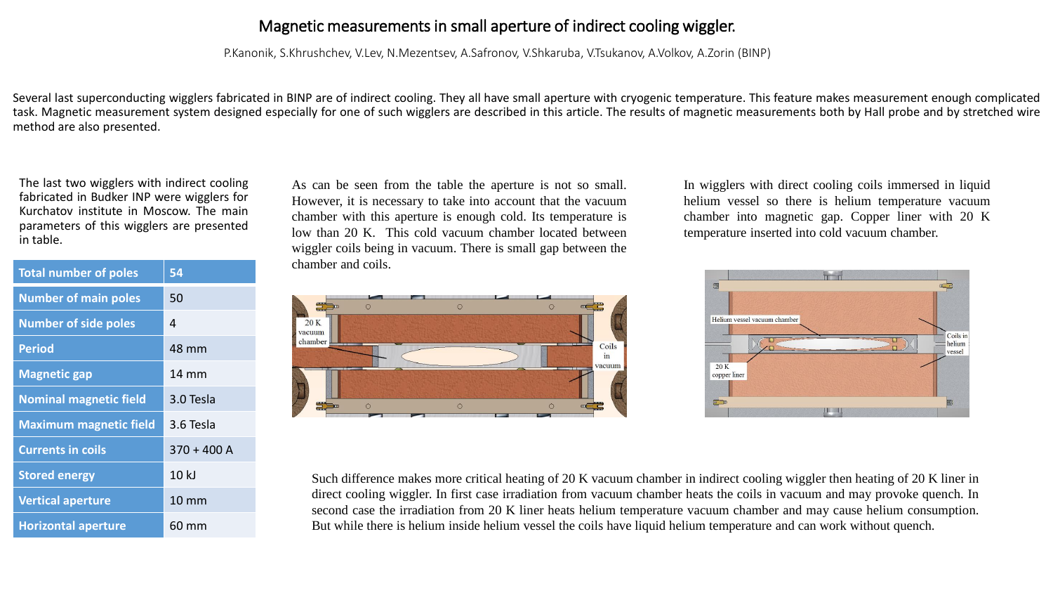## Magnetic measurements in small aperture of indirect cooling wiggler.

P.Kanonik, S.Khrushchev, V.Lev, N.Mezentsev, A.Safronov, V.Shkaruba, V.Tsukanov, A.Volkov, A.Zorin (BINP)

Several last superconducting wigglers fabricated in BINP are of indirect cooling. They all have small aperture with cryogenic temperature. This feature makes measurement enough complicated task. Magnetic measurement system designed especially for one of such wigglers are described in this article. The results of magnetic measurements both by Hall probe and by stretched wire method are also presented.

The last two wigglers with indirect cooling fabricated in Budker INP were wigglers for Kurchatov institute in Moscow. The main parameters of this wigglers are presented in table.

| <b>Total number of poles</b>  | 54              |
|-------------------------------|-----------------|
| <b>Number of main poles</b>   | 50              |
| <b>Number of side poles</b>   | 4               |
| <b>Period</b>                 | 48 mm           |
| <b>Magnetic gap</b>           | 14 mm           |
| <b>Nominal magnetic field</b> | 3.0 Tesla       |
| <b>Maximum magnetic field</b> | 3.6 Tesla       |
| <b>Currents in coils</b>      | $370 + 400$ A   |
| <b>Stored energy</b>          | 10 kJ           |
| <b>Vertical aperture</b>      | $10 \text{ mm}$ |
| <b>Horizontal aperture</b>    | 60 mm           |

As can be seen from the table the aperture is not so small. However, it is necessary to take into account that the vacuum chamber with this aperture is enough cold. Its temperature is low than 20 K. This cold vacuum chamber located between wiggler coils being in vacuum. There is small gap between the chamber and coils.



In wigglers with direct cooling coils immersed in liquid helium vessel so there is helium temperature vacuum chamber into magnetic gap. Copper liner with 20 K temperature inserted into cold vacuum chamber.



Such difference makes more critical heating of 20 K vacuum chamber in indirect cooling wiggler then heating of 20 K liner in direct cooling wiggler. In first case irradiation from vacuum chamber heats the coils in vacuum and may provoke quench. In second case the irradiation from 20 K liner heats helium temperature vacuum chamber and may cause helium consumption. But while there is helium inside helium vessel the coils have liquid helium temperature and can work without quench.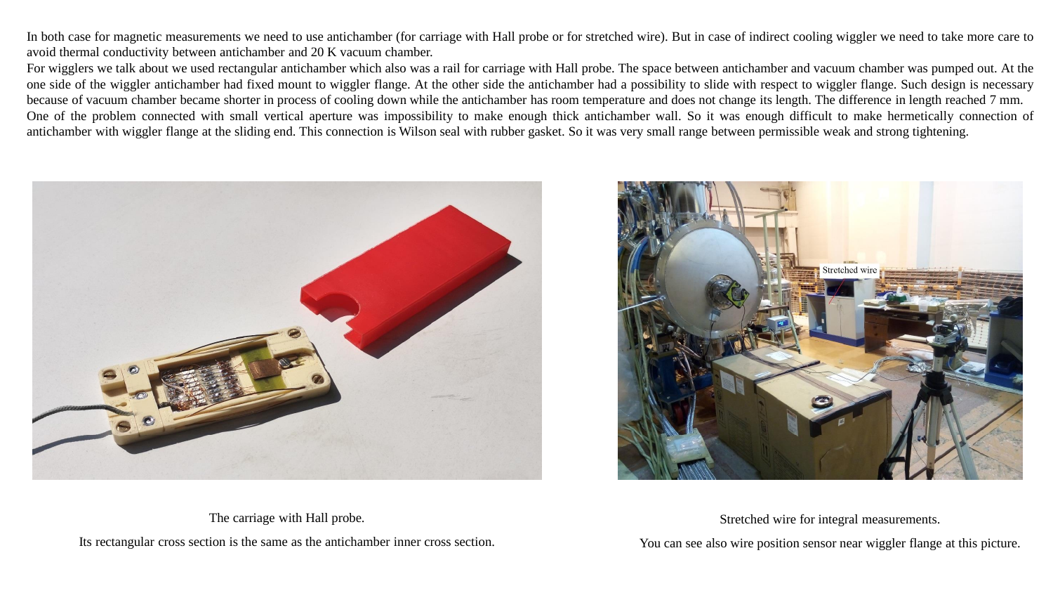In both case for magnetic measurements we need to use antichamber (for carriage with Hall probe or for stretched wire). But in case of indirect cooling wiggler we need to take more care to avoid thermal conductivity between antichamber and 20 K vacuum chamber.

For wigglers we talk about we used rectangular antichamber which also was a rail for carriage with Hall probe. The space between antichamber and vacuum chamber was pumped out. At the one side of the wiggler antichamber had fixed mount to wiggler flange. At the other side the antichamber had a possibility to slide with respect to wiggler flange. Such design is necessary because of vacuum chamber became shorter in process of cooling down while the antichamber has room temperature and does not change its length. The difference in length reached 7 mm. One of the problem connected with small vertical aperture was impossibility to make enough thick antichamber wall. So it was enough difficult to make hermetically connection of antichamber with wiggler flange at the sliding end. This connection is Wilson seal with rubber gasket. So it was very small range between permissible weak and strong tightening.





The carriage with Hall probe. Its rectangular cross section is the same as the antichamber inner cross section. Stretched wire for integral measurements.

You can see also wire position sensor near wiggler flange at this picture.